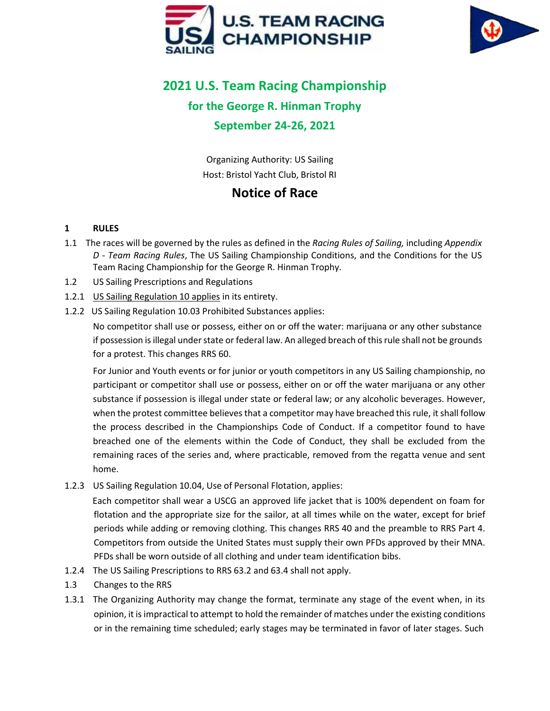



# **2021 U.S. Team Racing Championship for the George R. Hinman Trophy September 24-26, 2021**

Organizing Authority: US Sailing Host: Bristol Yacht Club, Bristol RI

## **Notice of Race**

### **1 RULES**

- 1.1 The races will be governed by the rules as defined in the *Racing Rules of Sailing,* including *Appendix D - Team Racing Rules*, The US Sailing Championship Conditions, and the Conditions for the US Team Racing Championship for the George R. Hinman Trophy.
- 1.2 US Sailing Prescriptions and Regulations
- 1.2.1 US Sailing [Regulation](https://www.ussailing.org/competition/resources/hosting-a-us-sailing-championship/regulation-10/) 10 applies in its entirety.
- 1.2.2 US Sailing Regulation 10.03 Prohibited Substances applies:

No competitor shall use or possess, either on or off the water: marijuana or any other substance if possession is illegal under state or federal law. An alleged breach of this rule shall not be grounds for a protest. This changes RRS 60.

For Junior and Youth events or for junior or youth competitors in any US Sailing championship, no participant or competitor shall use or possess, either on or off the water marijuana or any other substance if possession is illegal under state or federal law; or any alcoholic beverages. However, when the protest committee believes that a competitor may have breached this rule, it shall follow the process described in the Championships Code of Conduct. If a competitor found to have breached one of the elements within the Code of Conduct, they shall be excluded from the remaining races of the series and, where practicable, removed from the regatta venue and sent home.

1.2.3 US Sailing Regulation 10.04, Use of Personal Flotation, applies:

Each competitor shall wear a USCG an approved life jacket that is 100% dependent on foam for flotation and the appropriate size for the sailor, at all times while on the water, except for brief periods while adding or removing clothing. This changes RRS 40 and the preamble to RRS Part 4. Competitors from outside the United States must supply their own PFDs approved by their MNA. PFDs shall be worn outside of all clothing and under team identification bibs.

- 1.2.4 The US Sailing Prescriptions to RRS 63.2 and 63.4 shall not apply.
- 1.3 Changes to the RRS
- 1.3.1 The Organizing Authority may change the format, terminate any stage of the event when, in its opinion, it isimpractical to attempt to hold the remainder of matches under the existing conditions or in the remaining time scheduled; early stages may be terminated in favor of later stages. Such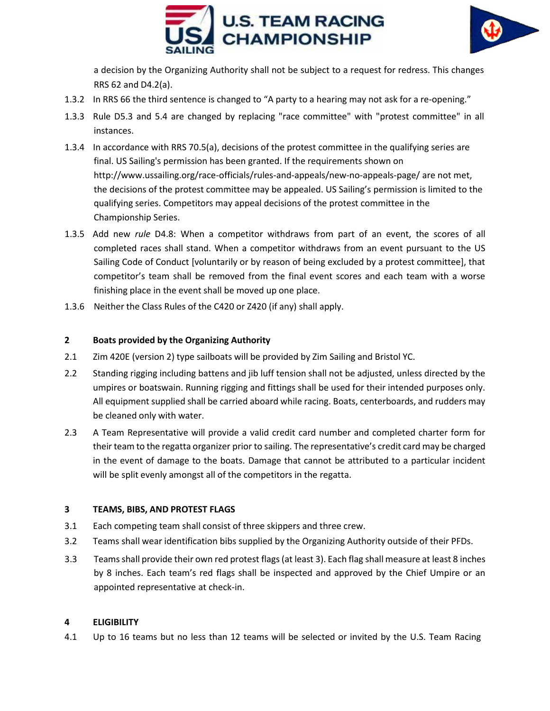



a decision by the Organizing Authority shall not be subject to a request for redress. This changes RRS 62 and D4.2(a).

- 1.3.2 In RRS 66 the third sentence is changed to "A party to a hearing may not ask for a re-opening."
- 1.3.3 Rule D5.3 and 5.4 are changed by replacing "race committee" with "protest committee" in all instances.
- 1.3.4 In accordance with RRS 70.5(a), decisions of the protest committee in the qualifying series are final. US Sailing's permission has been granted. If the requirements shown on [http://www.ussailing.org/race-officials/rules-and-appeals/new-no-appeals-page/ a](http://www.ussailing.org/race-officials/rules-and-appeals/new-no-appeals-page/)re not met, the decisions of the protest committee may be appealed. US Sailing's permission is limited to the qualifying series. Competitors may appeal decisions of the protest committee in the Championship Series.
- 1.3.5 Add new *rule* D4.8: When a competitor withdraws from part of an event, the scores of all completed races shall stand. When a competitor withdraws from an event pursuant to the US Sailing Code of Conduct [voluntarily or by reason of being excluded by a protest committee], that competitor's team shall be removed from the final event scores and each team with a worse finishing place in the event shall be moved up one place.
- 1.3.6 Neither the Class Rules of the C420 or Z420 (if any) shall apply.

#### **2 Boats provided by the Organizing Authority**

- 2.1 Zim 420E (version 2) type sailboats will be provided by Zim Sailing and Bristol YC.
- 2.2 Standing rigging including battens and jib luff tension shall not be adjusted, unless directed by the umpires or boatswain. Running rigging and fittings shall be used for their intended purposes only. All equipment supplied shall be carried aboard while racing. Boats, centerboards, and rudders may be cleaned only with water.
- 2.3 A Team Representative will provide a valid credit card number and completed charter form for their team to the regatta organizer prior to sailing. The representative's credit card may be charged in the event of damage to the boats. Damage that cannot be attributed to a particular incident will be split evenly amongst all of the competitors in the regatta.

#### **3 TEAMS, BIBS, AND PROTEST FLAGS**

- 3.1 Each competing team shall consist of three skippers and three crew.
- 3.2 Teams shall wear identification bibs supplied by the Organizing Authority outside of their PFDs.
- 3.3 Teamsshall provide their own red protest flags(at least 3). Each flag shall measure at least 8 inches by 8 inches. Each team's red flags shall be inspected and approved by the Chief Umpire or an appointed representative at check-in.

#### **4 ELIGIBILITY**

4.1 Up to 16 teams but no less than 12 teams will be selected or invited by the U.S. Team Racing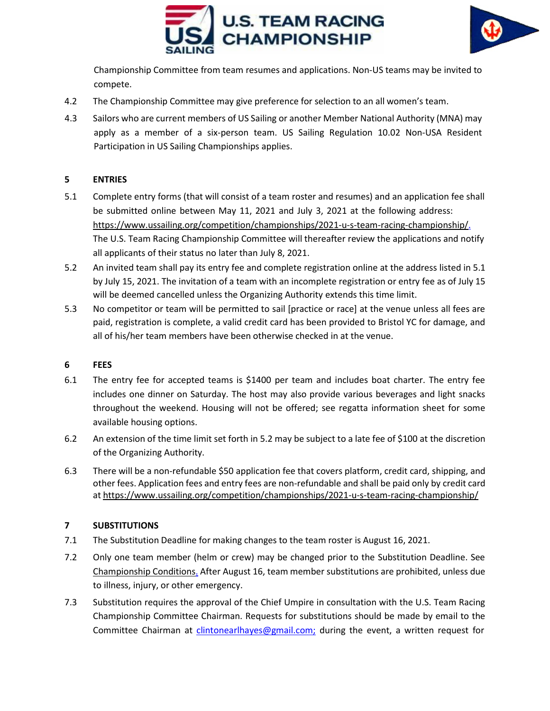



Championship Committee from team resumes and applications. Non-US teams may be invited to compete.

- 4.2 The Championship Committee may give preference for selection to an all women's team.
- 4.3 Sailors who are current members of US Sailing or another Member National Authority (MNA) may apply as a member of a six-person team. US Sailing Regulation 10.02 Non-USA Resident Participation in US Sailing Championships applies.

#### **5 ENTRIES**

- 5.1 Complete entry forms (that will consist of a team roster and resumes) and an application fee shall be submitted online between May 11, 2021 and July 3, 2021 at the following address: [https://www.ussailing.org/competition/championships/2021-u-s-team-racing-championship/.](https://www.ussailing.org/competition/championships/2021-u-s-team-racing-championship/) The U.S. Team Racing Championship Committee will thereafter review the applications and notify all applicants of their status no later than July 8, 2021.
- 5.2 An invited team shall pay its entry fee and complete registration online at the address listed in 5.1 by July 15, 2021. The invitation of a team with an incomplete registration or entry fee as of July 15 will be deemed cancelled unless the Organizing Authority extends this time limit.
- 5.3 No competitor or team will be permitted to sail [practice or race] at the venue unless all fees are paid, registration is complete, a valid credit card has been provided to Bristol YC for damage, and all of his/her team members have been otherwise checked in at the venue.

#### **6 FEES**

- 6.1 The entry fee for accepted teams is \$1400 per team and includes boat charter. The entry fee includes one dinner on Saturday. The host may also provide various beverages and light snacks throughout the weekend. Housing will not be offered; see regatta information sheet for some available housing options.
- 6.2 An extension of the time limit set forth in 5.2 may be subject to a late fee of \$100 at the discretion of the Organizing Authority.
- 6.3 There will be a non-refundable \$50 application fee that covers platform, credit card, shipping, and other fees. Application fees and entry fees are non-refundable and shall be paid only by credit card at https:/[/www.ussailing.org/competition/championships/2021-u-s-team-racing-championship/](http://www.ussailing.org/competition/championships/2021-u-s-team-racing-championship/)

#### **7 SUBSTITUTIONS**

- 7.1 The Substitution Deadline for making changes to the team roster is August 16, 2021.
- 7.2 Only one team member (helm or crew) may be changed prior to the Substitution Deadline. See [Championship](https://cdn.ussailing.org/wp-content/uploads/2018/05/US-Team-Racing-Conditions.pdf) Conditions. After August 16, team member substitutions are prohibited, unless due to illness, injury, or other emergency.
- 7.3 Substitution requires the approval of the Chief Umpire in consultation with the U.S. Team Racing Championship Committee Chairman. Requests for substitutions should be made by email to the Committee Chairman at *clintonearlhayes@gmail.com*; during the event, a written request for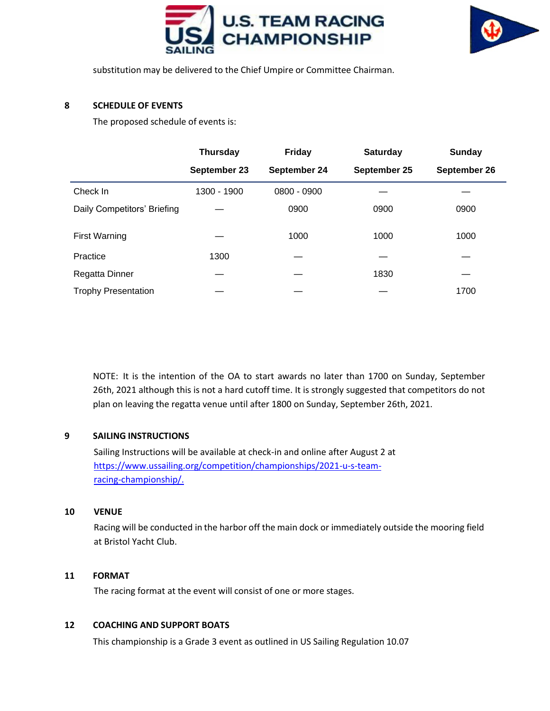



substitution may be delivered to the Chief Umpire or Committee Chairman.

#### **8 SCHEDULE OF EVENTS**

The proposed schedule of events is:

|                             | <b>Thursday</b> | Friday       | <b>Saturday</b> | Sunday       |
|-----------------------------|-----------------|--------------|-----------------|--------------|
|                             | September 23    | September 24 | September 25    | September 26 |
| Check In                    | 1300 - 1900     | 0800 - 0900  |                 |              |
| Daily Competitors' Briefing |                 | 0900         | 0900            | 0900         |
| <b>First Warning</b>        |                 | 1000         | 1000            | 1000         |
| Practice                    | 1300            |              |                 |              |
| Regatta Dinner              |                 |              | 1830            |              |
| <b>Trophy Presentation</b>  |                 |              |                 | 1700         |

NOTE: It is the intention of the OA to start awards no later than 1700 on Sunday, September 26th, 2021 although this is not a hard cutoff time. It is strongly suggested that competitors do not plan on leaving the regatta venue until after 1800 on Sunday, September 26th, 2021.

#### **9 SAILING INSTRUCTIONS**

Sailing Instructions will be available at check-in and online after August 2 at [https://www.ussailing.org/competition/championships/2021-u-s-team](https://www.ussailing.org/competition/championships/2021-u-s-team-racing-championship/)[racing-championship/.](https://www.ussailing.org/competition/championships/2021-u-s-team-racing-championship/)

#### **10 VENUE**

Racing will be conducted in the harbor off the main dock or immediately outside the mooring field at Bristol Yacht Club.

#### **11 FORMAT**

The racing format at the event will consist of one or more stages.

#### **12 COACHING AND SUPPORT BOATS**

This championship is a Grade 3 event as outlined in US Sailing Regulation 10.07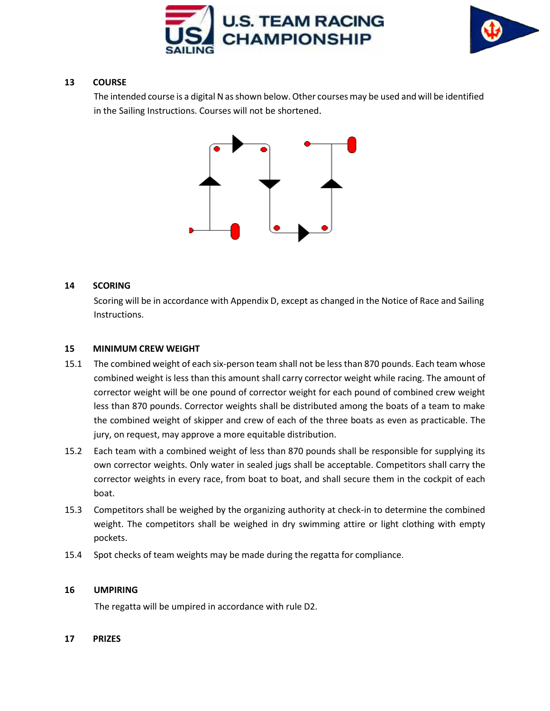



### **13 COURSE**

The intended course is a digital N as shown below. Other courses may be used and will be identified in the Sailing Instructions. Courses will not be shortened.



#### **14 SCORING**

Scoring will be in accordance with Appendix D, except as changed in the Notice of Race and Sailing Instructions.

#### **15 MINIMUM CREW WEIGHT**

- 15.1 The combined weight of each six-person team shall not be less than 870 pounds. Each team whose combined weight is less than this amount shall carry corrector weight while racing. The amount of corrector weight will be one pound of corrector weight for each pound of combined crew weight less than 870 pounds. Corrector weights shall be distributed among the boats of a team to make the combined weight of skipper and crew of each of the three boats as even as practicable. The jury, on request, may approve a more equitable distribution.
- 15.2 Each team with a combined weight of less than 870 pounds shall be responsible for supplying its own corrector weights. Only water in sealed jugs shall be acceptable. Competitors shall carry the corrector weights in every race, from boat to boat, and shall secure them in the cockpit of each boat.
- 15.3 Competitors shall be weighed by the organizing authority at check-in to determine the combined weight. The competitors shall be weighed in dry swimming attire or light clothing with empty pockets.
- 15.4 Spot checks of team weights may be made during the regatta for compliance.

#### **16 UMPIRING**

The regatta will be umpired in accordance with rule D2.

#### **17 PRIZES**